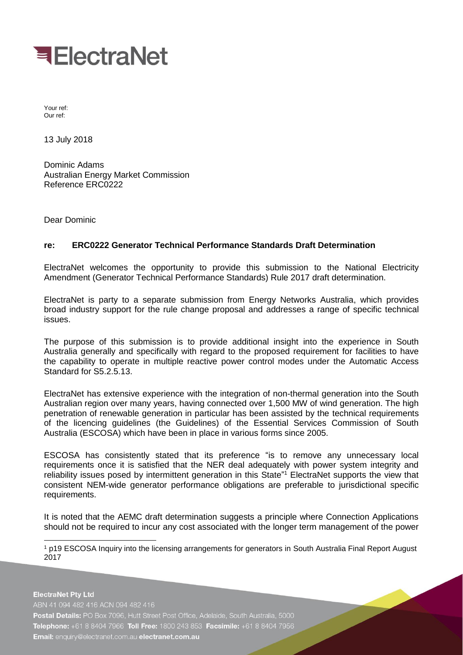

Your ref: Our ref:

13 July 2018

Dominic Adams Australian Energy Market Commission Reference ERC0222

Dear Dominic

## **re: ERC0222 Generator Technical Performance Standards Draft Determination**

ElectraNet welcomes the opportunity to provide this submission to the National Electricity Amendment (Generator Technical Performance Standards) Rule 2017 draft determination.

ElectraNet is party to a separate submission from Energy Networks Australia, which provides broad industry support for the rule change proposal and addresses a range of specific technical issues.

The purpose of this submission is to provide additional insight into the experience in South Australia generally and specifically with regard to the proposed requirement for facilities to have the capability to operate in multiple reactive power control modes under the Automatic Access Standard for S5.2.5.13.

ElectraNet has extensive experience with the integration of non-thermal generation into the South Australian region over many years, having connected over 1,500 MW of wind generation. The high penetration of renewable generation in particular has been assisted by the technical requirements of the licencing guidelines (the Guidelines) of the Essential Services Commission of South Australia (ESCOSA) which have been in place in various forms since 2005.

ESCOSA has consistently stated that its preference "is to remove any unnecessary local requirements once it is satisfied that the NER deal adequately with power system integrity and reliability issues posed by intermittent generation in this State<sup>"1</sup> ElectraNet supports the view that consistent NEM-wide generator performance obligations are preferable to jurisdictional specific requirements.

It is noted that the AEMC draft determination suggests a principle where Connection Applications should not be required to incur any cost associated with the longer term management of the power

-1 p19 ESCOSA Inquiry into the licensing arrangements for generators in South Australia Final Report August 2017